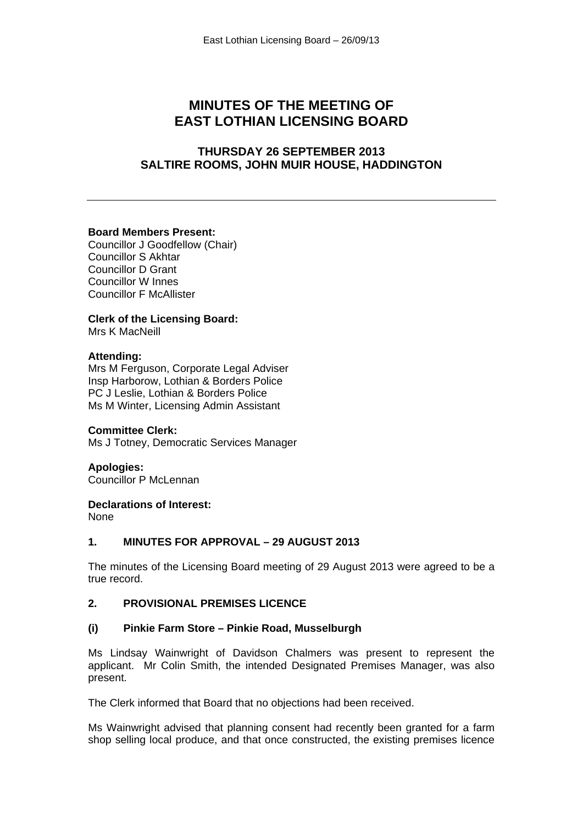# **MINUTES OF THE MEETING OF EAST LOTHIAN LICENSING BOARD**

## **THURSDAY 26 SEPTEMBER 2013 SALTIRE ROOMS, JOHN MUIR HOUSE, HADDINGTON**

#### **Board Members Present:**

Councillor J Goodfellow (Chair) Councillor S Akhtar Councillor D Grant Councillor W Innes Councillor F McAllister

## **Clerk of the Licensing Board:**

Mrs K MacNeill

#### **Attending:**

Mrs M Ferguson, Corporate Legal Adviser Insp Harborow, Lothian & Borders Police PC J Leslie, Lothian & Borders Police Ms M Winter, Licensing Admin Assistant

#### **Committee Clerk:**

Ms J Totney, Democratic Services Manager

## **Apologies:**

Councillor P McLennan

#### **Declarations of Interest:**

None

## **1. MINUTES FOR APPROVAL – 29 AUGUST 2013**

The minutes of the Licensing Board meeting of 29 August 2013 were agreed to be a true record.

## **2. PROVISIONAL PREMISES LICENCE**

## **(i) Pinkie Farm Store – Pinkie Road, Musselburgh**

Ms Lindsay Wainwright of Davidson Chalmers was present to represent the applicant. Mr Colin Smith, the intended Designated Premises Manager, was also present.

The Clerk informed that Board that no objections had been received.

Ms Wainwright advised that planning consent had recently been granted for a farm shop selling local produce, and that once constructed, the existing premises licence